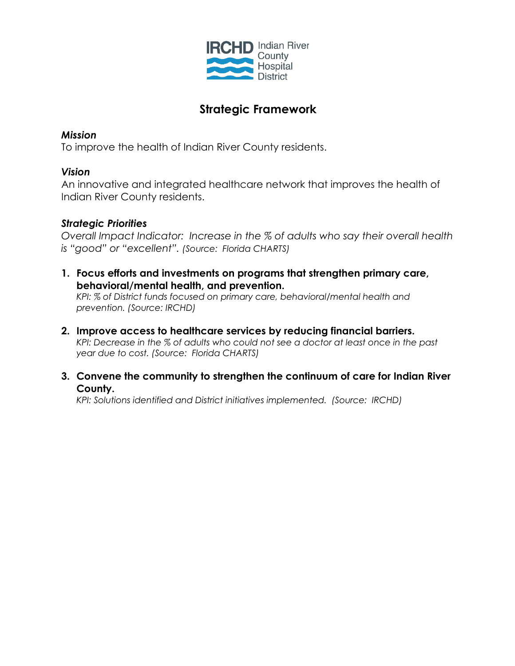

# **Strategic Framework**

## *Mission*

To improve the health of Indian River County residents.

## *Vision*

An innovative and integrated healthcare network that improves the health of Indian River County residents.

# *Strategic Priorities*

*Overall Impact Indicator: Increase in the % of adults who say their overall health is "good" or "excellent". (Source: Florida CHARTS)*

**1. Focus efforts and investments on programs that strengthen primary care, behavioral/mental health, and prevention.**

*KPI: % of District funds focused on primary care, behavioral/mental health and prevention. (Source: IRCHD)*

- **2. Improve access to healthcare services by reducing financial barriers.** *KPI: Decrease in the % of adults who could not see a doctor at least once in the past year due to cost. (Source: Florida CHARTS)*
- **3. Convene the community to strengthen the continuum of care for Indian River County.**

*KPI: Solutions identified and District initiatives implemented. (Source: IRCHD)*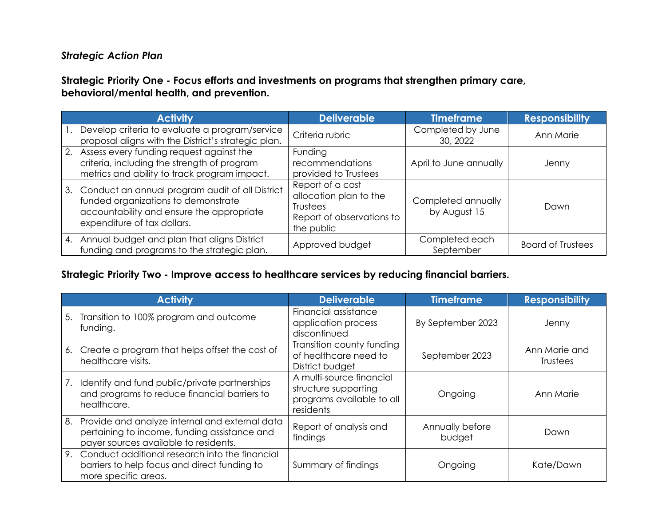## *Strategic Action Plan*

## **Strategic Priority One - Focus efforts and investments on programs that strengthen primary care, behavioral/mental health, and prevention.**

| <b>Activity</b>                                                                                                                                                       | <b>Deliverable</b>                                                                                | <b>Timeframe</b>                   | <b>Responsibility</b>    |
|-----------------------------------------------------------------------------------------------------------------------------------------------------------------------|---------------------------------------------------------------------------------------------------|------------------------------------|--------------------------|
| Develop criteria to evaluate a program/service<br>proposal aligns with the District's strategic plan.                                                                 | Criteria rubric                                                                                   | Completed by June<br>30, 2022      | Ann Marie                |
| 2. Assess every funding request against the<br>criteria, including the strength of program<br>metrics and ability to track program impact.                            | Funding<br>recommendations<br>provided to Trustees                                                | April to June annually             | Jenny                    |
| 3. Conduct an annual program audit of all District<br>funded organizations to demonstrate<br>accountability and ensure the appropriate<br>expenditure of tax dollars. | Report of a cost<br>allocation plan to the<br>Trustees<br>Report of observations to<br>the public | Completed annually<br>by August 15 | Dawn                     |
| 4. Annual budget and plan that aligns District<br>funding and programs to the strategic plan.                                                                         | Approved budget                                                                                   | Completed each<br>September        | <b>Board of Trustees</b> |

#### **Strategic Priority Two - Improve access to healthcare services by reducing financial barriers.**

|    | <b>Activity</b>                                                                                                                         | <b>Deliverable</b>                                                                         | <b>Timeframe</b>          | <b>Responsibility</b>            |
|----|-----------------------------------------------------------------------------------------------------------------------------------------|--------------------------------------------------------------------------------------------|---------------------------|----------------------------------|
|    | 5. Transition to 100% program and outcome<br>funding.                                                                                   | Financial assistance<br>application process<br>discontinued                                | By September 2023         | Jenny                            |
|    | 6. Create a program that helps offset the cost of<br>healthcare visits.                                                                 | Transition county funding<br>of healthcare need to<br>District budget                      | September 2023            | Ann Marie and<br><b>Trustees</b> |
| 7. | Identify and fund public/private partnerships<br>and programs to reduce financial barriers to<br>healthcare.                            | A multi-source financial<br>structure supporting<br>programs available to all<br>residents | Ongoing                   | Ann Marie                        |
| 8. | Provide and analyze internal and external data<br>pertaining to income, funding assistance and<br>payer sources available to residents. | Report of analysis and<br>findings                                                         | Annually before<br>budget | Dawn                             |
| 9. | Conduct additional research into the financial<br>barriers to help focus and direct funding to<br>more specific areas.                  | Summary of findings                                                                        | Ongoing                   | Kate/Dawn                        |